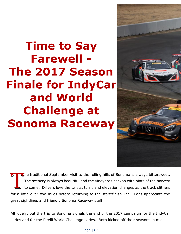## **Time to Say Farewell - The 2017 Season Finale for IndyCar and World Challenge at Sonoma Raceway**



The traditional September visit to the rolling hills of Sonoma is always bittersweet. The scenery is always beautiful and the vineyards beckon with hints of the harvest to come. Drivers love the twists, turns and elevation changes as the track slithers for a little over two miles before returning to the start/finish line. Fans appreciate the great sightlines and friendly Sonoma Raceway staff.

All lovely, but the trip to Sonoma signals the end of the 2017 campaign for the IndyCar series and for the Pirelli World Challenge series. Both kicked off their seasons in mid-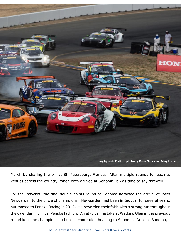

March by sharing the bill at St. Petersburg, Florida. After multiple rounds for each at venues across the country, when both arrived at Sonoma, it was time to say farewell.

For the Indycars, the final double points round at Sonoma heralded the arrival of Josef Newgarden to the circle of champions. Newgarden had been in Indycar for several years, but moved to Penske Racing in 2017. He rewarded their faith with a strong run throughout the calendar in clinical Penske fashion. An atypical mistake at Watkins Glen in the previous round kept the championship hunt in contention heading to Sonoma. Once at Sonoma,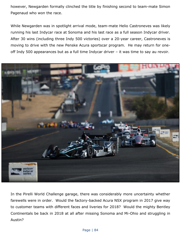however, Newgarden formally clinched the title by finishing second to team-mate Simon Pagenaud who won the race.

While Newgarden was in spotlight arrival mode, team-mate Helio Castroneves was likely running his last Indycar race at Sonoma and his last race as a full season Indycar driver. After 30 wins (including three Indy 500 victories) over a 20-year career, Castroneves is moving to drive with the new Penske Acura sportscar program. He may return for oneoff Indy 500 appearances but as a full time Indycar driver – it was time to say au revoir.



In the Pirelli World Challenge garage, there was considerably more uncertainty whether farewells were in order. Would the factory-backed Acura NSX program in 2017 give way to customer teams with different faces and liveries for 2018? Would the mighty Bentley Continentals be back in 2018 at all after missing Sonoma and Mi-Ohio and struggling in Austin?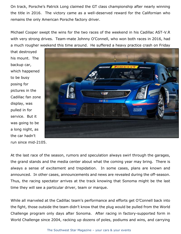On track, Porsche's Patrick Long claimed the GT class championship after nearly winning the title in 2016. The victory came as a well-deserved reward for the Californian who remains the only American Porsche factory driver.

Michael Cooper swept the wins for the two races of the weekend in his Cadillac AST-V.R with very strong drives. Team-mate Johnny O'Connell, who won both races in 2016, had a much rougher weekend this time around. He suffered a heavy practice crash on Friday

that destroyed his mount. The backup car, which happened to be busy posing for pictures in the Cadillac fan zone display, was pulled in for service. But it was going to be a long night, as the car hadn't

**Bloodiff** 838

run since mid-2105.

At the last race of the season, rumors and speculation always swirl through the garages, the grand stands and the media center about what the coming year may bring. There is always a sense of excitement and trepidation. In some cases, plans are known and announced. In other cases, announcements and news are revealed during the off-season. Thus, the racing spectator arrives at the track knowing that Sonoma might be the last time they will see a particular driver, team or marque.

While all marveled at the Cadillac team's performance and efforts get O'Connell back into the fight, those outside the team didn't know that the plug would be pulled from the World Challenge program only days after Sonoma. After racing in factory-supported form in World Challenge since 2004, racking up dozens of poles, podiums and wins, and carrying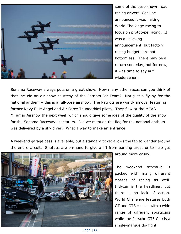

some of the best-known road racing drivers, Cadillac announced it was halting World Challenge racing to focus on prototype racing. It was a shocking announcement, but factory racing budgets are not bottomless. There may be a return someday, but for now, it was time to say auf wiedersehen.

Sonoma Raceway always puts on a great show. How many other races can you think of that include an air show courtesy of the Patriots Jet Team? Not just a fly-by for the national anthem – this is a full-bore airshow. The Patriots are world-famous, featuring former Navy Blue Angel and Air Force Thunderbird pilots. They flew at the MCAS Miramar Airshow the next week which should give some idea of the quality of the show for the Sonoma Raceway spectators. Did we mention the flag for the national anthem was delivered by a sky diver? What a way to make an entrance.

A weekend garage pass is available, but a standard ticket allows the fan to wander around the entire circuit. Shuttles are on-hand to give a lift from parking areas or to help get



around more easily.

The weekend schedule is packed with many different classes of racing as well. Indycar is the headliner, but there is no lack of action. World Challenge features both GT and GTS classes with a wide range of different sportscars while the Porsche GT3 Cup is a single-marque dogfight.

Page | 86